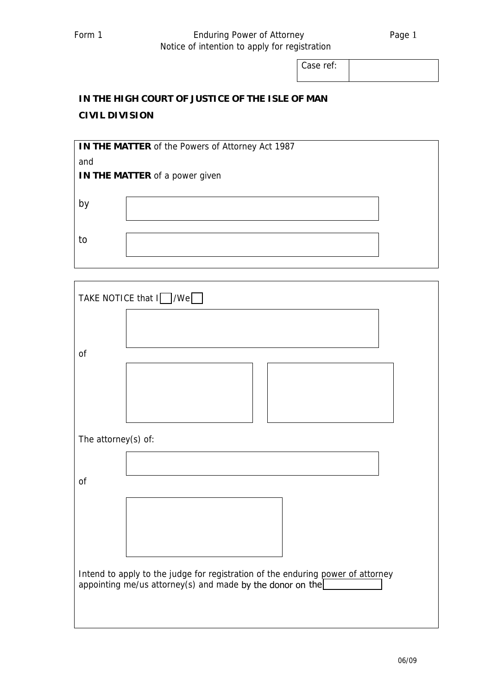## Form 1 **Enduring Power of Attorney** Page 1 Notice of intention to apply for registration

Case ref:

## **IN THE HIGH COURT OF JUSTICE OF THE ISLE OF MAN CIVIL DIVISION**

| IN THE MATTER of the Powers of Attorney Act 1987 |  |  |  |
|--------------------------------------------------|--|--|--|
| and                                              |  |  |  |
| <b>IN THE MATTER</b> of a power given            |  |  |  |
|                                                  |  |  |  |
| b١                                               |  |  |  |
|                                                  |  |  |  |
| to                                               |  |  |  |
|                                                  |  |  |  |
|                                                  |  |  |  |

| TAKE NOTICE that I / / We                                                                                                                    |  |  |  |
|----------------------------------------------------------------------------------------------------------------------------------------------|--|--|--|
|                                                                                                                                              |  |  |  |
| of                                                                                                                                           |  |  |  |
|                                                                                                                                              |  |  |  |
| The attorney(s) of:                                                                                                                          |  |  |  |
|                                                                                                                                              |  |  |  |
| of                                                                                                                                           |  |  |  |
|                                                                                                                                              |  |  |  |
|                                                                                                                                              |  |  |  |
| Intend to apply to the judge for registration of the enduring power of attorney<br>appointing me/us attorney(s) and made by the donor on the |  |  |  |
|                                                                                                                                              |  |  |  |